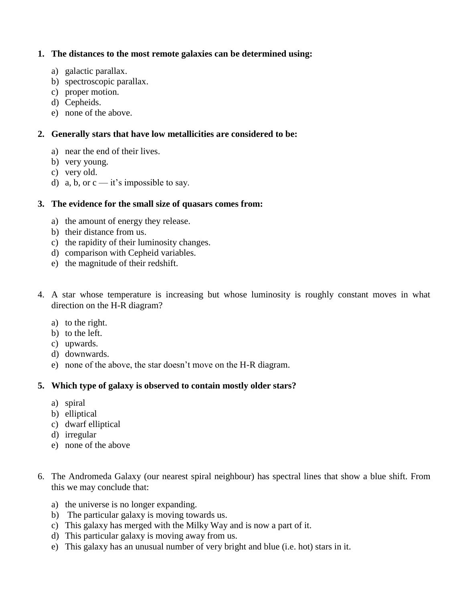## **1. The distances to the most remote galaxies can be determined using:**

- a) galactic parallax.
- b) spectroscopic parallax.
- c) proper motion.
- d) Cepheids.
- e) none of the above.

## **2. Generally stars that have low metallicities are considered to be:**

- a) near the end of their lives.
- b) very young.
- c) very old.
- d) a, b, or  $c it$ 's impossible to say.

## **3. The evidence for the small size of quasars comes from:**

- a) the amount of energy they release.
- b) their distance from us.
- c) the rapidity of their luminosity changes.
- d) comparison with Cepheid variables.
- e) the magnitude of their redshift.
- 4. A star whose temperature is increasing but whose luminosity is roughly constant moves in what direction on the H-R diagram?
	- a) to the right.
	- b) to the left.
	- c) upwards.
	- d) downwards.
	- e) none of the above, the star doesn't move on the H-R diagram.

### **5. Which type of galaxy is observed to contain mostly older stars?**

- a) spiral
- b) elliptical
- c) dwarf elliptical
- d) irregular
- e) none of the above
- 6. The Andromeda Galaxy (our nearest spiral neighbour) has spectral lines that show a blue shift. From this we may conclude that:
	- a) the universe is no longer expanding.
	- b) The particular galaxy is moving towards us.
	- c) This galaxy has merged with the Milky Way and is now a part of it.
	- d) This particular galaxy is moving away from us.
	- e) This galaxy has an unusual number of very bright and blue (i.e. hot) stars in it.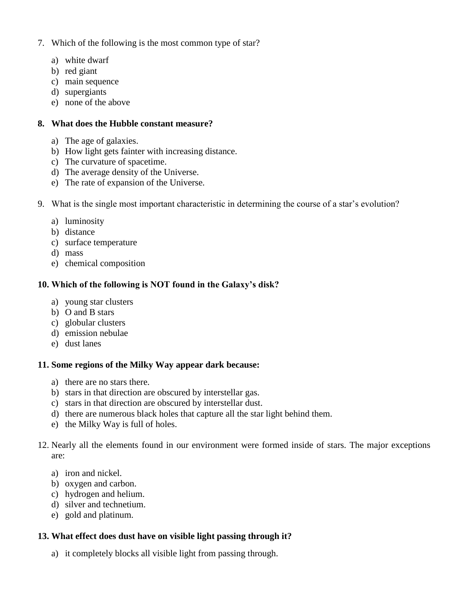- 7. Which of the following is the most common type of star?
	- a) white dwarf
	- b) red giant
	- c) main sequence
	- d) supergiants
	- e) none of the above

## **8. What does the Hubble constant measure?**

- a) The age of galaxies.
- b) How light gets fainter with increasing distance.
- c) The curvature of spacetime.
- d) The average density of the Universe.
- e) The rate of expansion of the Universe.
- 9. What is the single most important characteristic in determining the course of a star's evolution?
	- a) luminosity
	- b) distance
	- c) surface temperature
	- d) mass
	- e) chemical composition

# **10. Which of the following is NOT found in the Galaxy's disk?**

- a) young star clusters
- b) O and B stars
- c) globular clusters
- d) emission nebulae
- e) dust lanes

# **11. Some regions of the Milky Way appear dark because:**

- a) there are no stars there.
- b) stars in that direction are obscured by interstellar gas.
- c) stars in that direction are obscured by interstellar dust.
- d) there are numerous black holes that capture all the star light behind them.
- e) the Milky Way is full of holes.
- 12. Nearly all the elements found in our environment were formed inside of stars. The major exceptions are:
	- a) iron and nickel.
	- b) oxygen and carbon.
	- c) hydrogen and helium.
	- d) silver and technetium.
	- e) gold and platinum.

# **13. What effect does dust have on visible light passing through it?**

a) it completely blocks all visible light from passing through.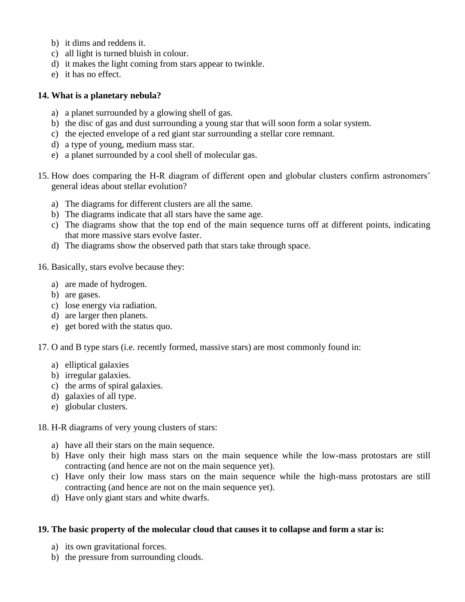- b) it dims and reddens it.
- c) all light is turned bluish in colour.
- d) it makes the light coming from stars appear to twinkle.
- e) it has no effect.

#### **14. What is a planetary nebula?**

- a) a planet surrounded by a glowing shell of gas.
- b) the disc of gas and dust surrounding a young star that will soon form a solar system.
- c) the ejected envelope of a red giant star surrounding a stellar core remnant.
- d) a type of young, medium mass star.
- e) a planet surrounded by a cool shell of molecular gas.
- 15. How does comparing the H-R diagram of different open and globular clusters confirm astronomers' general ideas about stellar evolution?
	- a) The diagrams for different clusters are all the same.
	- b) The diagrams indicate that all stars have the same age.
	- c) The diagrams show that the top end of the main sequence turns off at different points, indicating that more massive stars evolve faster.
	- d) The diagrams show the observed path that stars take through space.
- 16. Basically, stars evolve because they:
	- a) are made of hydrogen.
	- b) are gases.
	- c) lose energy via radiation.
	- d) are larger then planets.
	- e) get bored with the status quo.
- 17. O and B type stars (i.e. recently formed, massive stars) are most commonly found in:
	- a) elliptical galaxies
	- b) irregular galaxies.
	- c) the arms of spiral galaxies.
	- d) galaxies of all type.
	- e) globular clusters.

#### 18. H-R diagrams of very young clusters of stars:

- a) have all their stars on the main sequence.
- b) Have only their high mass stars on the main sequence while the low-mass protostars are still contracting (and hence are not on the main sequence yet).
- c) Have only their low mass stars on the main sequence while the high-mass protostars are still contracting (and hence are not on the main sequence yet).
- d) Have only giant stars and white dwarfs.

### **19. The basic property of the molecular cloud that causes it to collapse and form a star is:**

- a) its own gravitational forces.
- b) the pressure from surrounding clouds.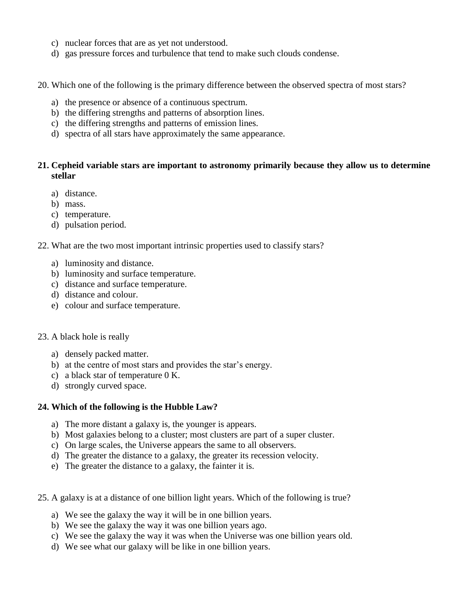- c) nuclear forces that are as yet not understood.
- d) gas pressure forces and turbulence that tend to make such clouds condense.
- 20. Which one of the following is the primary difference between the observed spectra of most stars?
	- a) the presence or absence of a continuous spectrum.
	- b) the differing strengths and patterns of absorption lines.
	- c) the differing strengths and patterns of emission lines.
	- d) spectra of all stars have approximately the same appearance.

## **21. Cepheid variable stars are important to astronomy primarily because they allow us to determine stellar**

- a) distance.
- b) mass.
- c) temperature.
- d) pulsation period.
- 22. What are the two most important intrinsic properties used to classify stars?
	- a) luminosity and distance.
	- b) luminosity and surface temperature.
	- c) distance and surface temperature.
	- d) distance and colour.
	- e) colour and surface temperature.

### 23. A black hole is really

- a) densely packed matter.
- b) at the centre of most stars and provides the star's energy.
- c) a black star of temperature 0 K.
- d) strongly curved space.

### **24. Which of the following is the Hubble Law?**

- a) The more distant a galaxy is, the younger is appears.
- b) Most galaxies belong to a cluster; most clusters are part of a super cluster.
- c) On large scales, the Universe appears the same to all observers.
- d) The greater the distance to a galaxy, the greater its recession velocity.
- e) The greater the distance to a galaxy, the fainter it is.
- 25. A galaxy is at a distance of one billion light years. Which of the following is true?
	- a) We see the galaxy the way it will be in one billion years.
	- b) We see the galaxy the way it was one billion years ago.
	- c) We see the galaxy the way it was when the Universe was one billion years old.
	- d) We see what our galaxy will be like in one billion years.